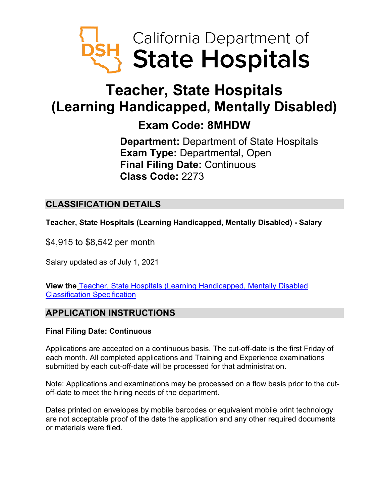

# **Teacher, State Hospitals (Learning Handicapped, Mentally Disabled)**

## **Exam Code: 8MHDW**

**Department:** Department of State Hospitals **Exam Type:** Departmental, Open **Final Filing Date:** Continuous **Class Code:** 2273

## **CLASSIFICATION DETAILS**

**Teacher, State Hospitals (Learning Handicapped, Mentally Disabled) - Salary**

\$4,915 to \$8,542 per month

Salary updated as of July 1, 2021

**View the** [Teacher, State Hospitals \(Learning Handicapped, Mentally Disabled](https://www.calhr.ca.gov/state-hr-professionals/pages/2275.aspx)  [Classification Specification](https://www.calhr.ca.gov/state-hr-professionals/pages/2275.aspx)

## **APPLICATION INSTRUCTIONS**

#### **Final Filing Date: Continuous**

Applications are accepted on a continuous basis. The cut-off-date is the first Friday of each month. All completed applications and Training and Experience examinations submitted by each cut-off-date will be processed for that administration.

Note: Applications and examinations may be processed on a flow basis prior to the cutoff-date to meet the hiring needs of the department.

Dates printed on envelopes by mobile barcodes or equivalent mobile print technology are not acceptable proof of the date the application and any other required documents or materials were filed.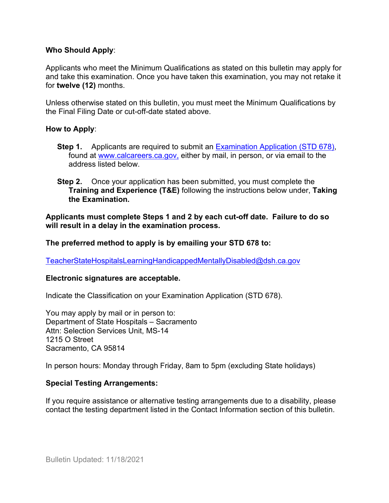#### **Who Should Apply**:

Applicants who meet the Minimum Qualifications as stated on this bulletin may apply for and take this examination. Once you have taken this examination, you may not retake it for **twelve (12)** months.

Unless otherwise stated on this bulletin, you must meet the Minimum Qualifications by the Final Filing Date or cut-off-date stated above.

#### **How to Apply**:

- **Step 1.** Applicants are required to submit an [Examination Application \(STD 678\),](https://jobs.ca.gov/pdf/std678.pdf) found at [www.calcareers.ca.gov,](http://www.calcareers.ca.gov/) either by mail, in person, or via email to the address listed below.
- **Step 2.** Once your application has been submitted, you must complete the **Training and Experience (T&E)** following the instructions below under, **Taking the Examination.**

**Applicants must complete Steps 1 and 2 by each cut-off date. Failure to do so will result in a delay in the examination process.**

#### **The preferred method to apply is by emailing your STD 678 to:**

[TeacherStateHospitalsLearningHandicappedMentallyDisabled@dsh.ca.gov](mailto:TeacherStateHospitalsLearningHandicappedMentallyDisabled@dsh.ca.gov)

#### **Electronic signatures are acceptable.**

Indicate the Classification on your Examination Application (STD 678).

You may apply by mail or in person to: Department of State Hospitals – Sacramento Attn: Selection Services Unit, MS-14 1215 O Street Sacramento, CA 95814

In person hours: Monday through Friday, 8am to 5pm (excluding State holidays)

#### **Special Testing Arrangements:**

If you require assistance or alternative testing arrangements due to a disability, please contact the testing department listed in the Contact Information section of this bulletin.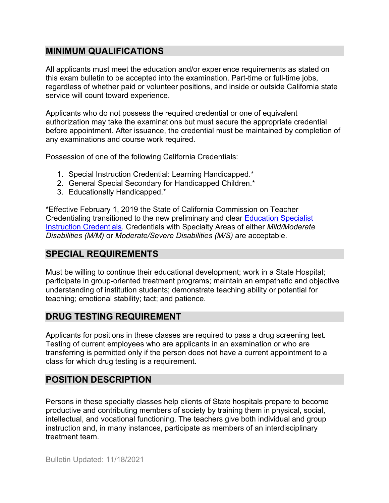## **MINIMUM QUALIFICATIONS**

All applicants must meet the education and/or experience requirements as stated on this exam bulletin to be accepted into the examination. Part-time or full-time jobs, regardless of whether paid or volunteer positions, and inside or outside California state service will count toward experience.

Applicants who do not possess the required credential or one of equivalent authorization may take the examinations but must secure the appropriate credential before appointment. After issuance, the credential must be maintained by completion of any examinations and course work required.

Possession of one of the following California Credentials:

- 1. Special Instruction Credential: Learning Handicapped.\*
- 2. General Special Secondary for Handicapped Children.\*
- 3. Educationally Handicapped.\*

\*Effective February 1, 2019 the State of California Commission on Teacher Credentialing transitioned to the new preliminary and clear [Education](https://www.ctc.ca.gov/docs/default-source/leaflets/cl808c.pdf?sfvrsn=23f4d0e7_4) Specialist Instruction [Credentials.](https://www.ctc.ca.gov/docs/default-source/leaflets/cl808c.pdf?sfvrsn=23f4d0e7_4) Credentials with Specialty Areas of either *Mild/Moderate Disabilities (M/M)* or *Moderate/Severe Disabilities (M/S)* are acceptable.

## **SPECIAL REQUIREMENTS**

Must be willing to continue their educational development; work in a State Hospital; participate in group-oriented treatment programs; maintain an empathetic and objective understanding of institution students; demonstrate teaching ability or potential for teaching; emotional stability; tact; and patience.

## **DRUG TESTING REQUIREMENT**

Applicants for positions in these classes are required to pass a drug screening test. Testing of current employees who are applicants in an examination or who are transferring is permitted only if the person does not have a current appointment to a class for which drug testing is a requirement.

## **POSITION DESCRIPTION**

Persons in these specialty classes help clients of State hospitals prepare to become productive and contributing members of society by training them in physical, social, intellectual, and vocational functioning. The teachers give both individual and group instruction and, in many instances, participate as members of an interdisciplinary treatment team.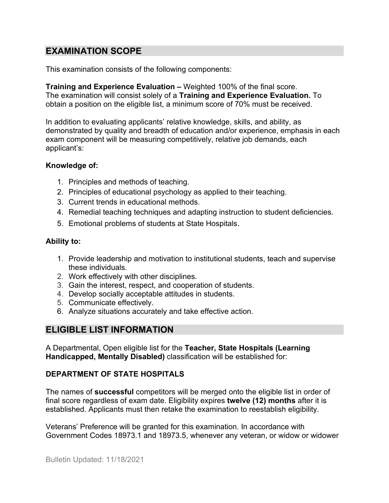## **EXAMINATION SCOPE**

This examination consists of the following components:

**Training and Experience Evaluation –** Weighted 100% of the final score. The examination will consist solely of a **Training and Experience Evaluation.** To obtain a position on the eligible list, a minimum score of 70% must be received.

In addition to evaluating applicants' relative knowledge, skills, and ability, as demonstrated by quality and breadth of education and/or experience, emphasis in each exam component will be measuring competitively, relative job demands, each applicant's:

#### **Knowledge of:**

- 1. Principles and methods of teaching.
- 2. Principles of educational psychology as applied to their teaching.
- 3. Current trends in educational methods.
- 4. Remedial teaching techniques and adapting instruction to student deficiencies.
- 5. Emotional problems of students at State Hospitals.

#### **Ability to:**

- 1. Provide leadership and motivation to institutional students, teach and supervise these individuals.
- 2. Work effectively with other disciplines.
- 3. Gain the interest, respect, and cooperation of students.
- 4. Develop socially acceptable attitudes in students.
- 5. Communicate effectively.
- 6. Analyze situations accurately and take effective action.

## **ELIGIBLE LIST INFORMATION**

A Departmental, Open eligible list for the **Teacher, State Hospitals (Learning Handicapped, Mentally Disabled)** classification will be established for:

#### **DEPARTMENT OF STATE HOSPITALS**

The names of **successful** competitors will be merged onto the eligible list in order of final score regardless of exam date. Eligibility expires **twelve (12) months** after it is established. Applicants must then retake the examination to reestablish eligibility.

Veterans' Preference will be granted for this examination. In accordance with Government Codes 18973.1 and 18973.5, whenever any veteran, or widow or widower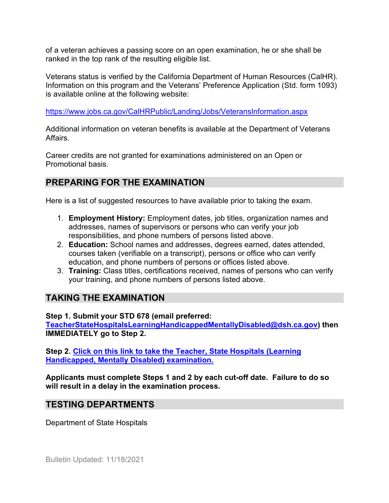of a veteran achieves a passing score on an open examination, he or she shall be ranked in the top rank of the resulting eligible list.

Veterans status is verified by the California Department of Human Resources (CalHR). Information on this program and the Veterans' Preference Application (Std. form 1093) is available online at the following website:

<https://www.jobs.ca.gov/CalHRPublic/Landing/Jobs/VeteransInformation.aspx>

Additional information on veteran benefits is available at the Department of Veterans Affairs.

Career credits are not granted for examinations administered on an Open or Promotional basis.

## **PREPARING FOR THE EXAMINATION**

Here is a list of suggested resources to have available prior to taking the exam.

- 1. **Employment History:** Employment dates, job titles, organization names and addresses, names of supervisors or persons who can verify your job responsibilities, and phone numbers of persons listed above.
- 2. **Education:** School names and addresses, degrees earned, dates attended, courses taken (verifiable on a transcript), persons or office who can verify education, and phone numbers of persons or offices listed above.
- 3. **Training:** Class titles, certifications received, names of persons who can verify your training, and phone numbers of persons listed above.

## **TAKING THE EXAMINATION**

**Step 1. Submit your STD 678 (email preferred: [TeacherStateHospitalsLearningHandicappedMentallyDisabled@dsh.ca.gov\)](mailto:TeacherStateHospitalsLearningHandicappedMentallyDisabled@dsh.ca.gov) then IMMEDIATELY go to Step 2.**

**Step 2. [Click on this link to take the Teacher, State Hospitals \(Learning](https://www.surveymonkey.com/r/LTHBRQV)  [Handicapped, Mentally Disabled\) examination.](https://www.surveymonkey.com/r/LTHBRQV)**

**Applicants must complete Steps 1 and 2 by each cut-off date. Failure to do so will result in a delay in the examination process.**

## **TESTING DEPARTMENTS**

Department of State Hospitals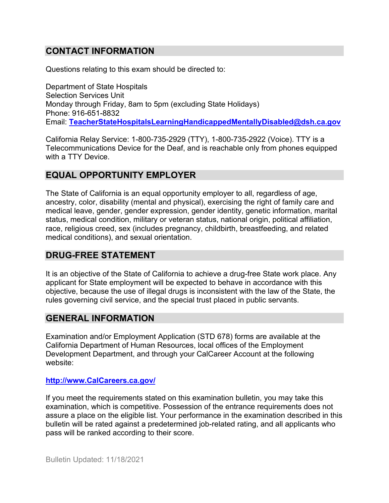## **CONTACT INFORMATION**

Questions relating to this exam should be directed to:

Department of State Hospitals Selection Services Unit Monday through Friday, 8am to 5pm (excluding State Holidays) Phone: 916-651-8832 Email: **[TeacherStateHospitalsLearningHandicappedMentallyDisabled@dsh.ca.gov](mailto:TeacherStateHospitalsLearningHandicappedMentallyDisabled@dsh.ca.gov)**

California Relay Service: 1-800-735-2929 (TTY), 1-800-735-2922 (Voice). TTY is a Telecommunications Device for the Deaf, and is reachable only from phones equipped with a TTY Device.

#### **EQUAL OPPORTUNITY EMPLOYER**

The State of California is an equal opportunity employer to all, regardless of age, ancestry, color, disability (mental and physical), exercising the right of family care and medical leave, gender, gender expression, gender identity, genetic information, marital status, medical condition, military or veteran status, national origin, political affiliation, race, religious creed, sex (includes pregnancy, childbirth, breastfeeding, and related medical conditions), and sexual orientation.

#### **DRUG-FREE STATEMENT**

It is an objective of the State of California to achieve a drug-free State work place. Any applicant for State employment will be expected to behave in accordance with this objective, because the use of illegal drugs is inconsistent with the law of the State, the rules governing civil service, and the special trust placed in public servants.

#### **GENERAL INFORMATION**

Examination and/or Employment Application (STD 678) forms are available at the California Department of Human Resources, local offices of the Employment Development Department, and through your CalCareer Account at the following website:

#### **http://www.CalCareers.ca.gov/**

If you meet the requirements stated on this examination bulletin, you may take this examination, which is competitive. Possession of the entrance requirements does not assure a place on the eligible list. Your performance in the examination described in this bulletin will be rated against a predetermined job-related rating, and all applicants who pass will be ranked according to their score.